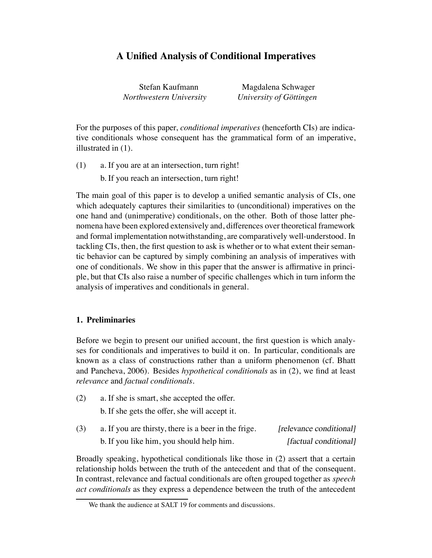# **A Unified Analysis of Conditional Imperatives**

Stefan Kaufmann Magdalena Schwager *Northwestern University University of Göttingen* 

For the purposes of this paper, *conditional imperatives* (henceforth CIs) are indicative conditionals whose consequent has the grammatical form of an imperative, illustrated in (1).

(1) a. If you are at an intersection, turn right! b. If you reach an intersection, turn right!

The main goal of this paper is to develop a unified semantic analysis of CIs, one which adequately captures their similarities to (unconditional) imperatives on the one hand and (unimperative) conditionals, on the other. Both of those latter phenomena have been explored extensively and, differences over theoretical framework and formal implementation notwithstanding, are comparatively well-understood. In tackling CIs, then, the first question to ask is whether or to what extent their semantic behavior can be captured by simply combining an analysis of imperatives with one of conditionals. We show in this paper that the answer is affirmative in principle, but that CIs also raise a number of specific challenges which in turn inform the analysis of imperatives and conditionals in general.

# **1. Preliminaries**

Before we begin to present our unified account, the first question is which analyses for conditionals and imperatives to build it on. In particular, conditionals are known as a class of constructions rather than a uniform phenomenon (cf. Bhatt and Pancheva, 2006). Besides *hypothetical conditionals* as in (2), we find at least *relevance* and *factual conditionals*.

- (2) a. If she is smart, she accepted the offer. b. If she gets the offer, she will accept it.
- $(3)$  a. If you are thirsty, there is a beer in the frige. [relevance conditional] b. If you like him, you should help him. [factual conditional]

Broadly speaking, hypothetical conditionals like those in (2) assert that a certain relationship holds between the truth of the antecedent and that of the consequent. In contrast, relevance and factual conditionals are often grouped together as *speech act conditionals* as they express a dependence between the truth of the antecedent

We thank the audience at SALT 19 for comments and discussions.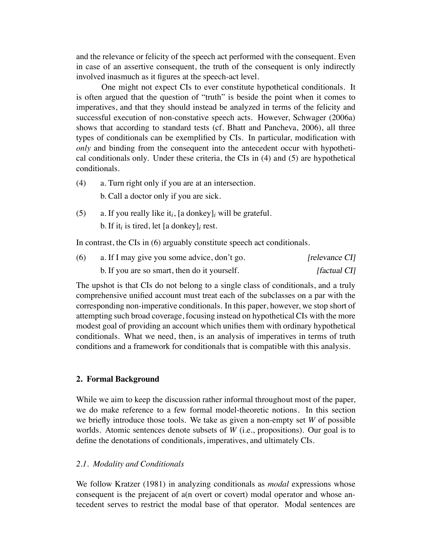and the relevance or felicity of the speech act performed with the consequent. Even in case of an assertive consequent, the truth of the consequent is only indirectly involved inasmuch as it figures at the speech-act level.

One might not expect CIs to ever constitute hypothetical conditionals. It is often argued that the question of "truth" is beside the point when it comes to imperatives, and that they should instead be analyzed in terms of the felicity and successful execution of non-constative speech acts. However, Schwager (2006a) shows that according to standard tests (cf. Bhatt and Pancheva, 2006), all three types of conditionals can be exemplified by CIs. In particular, modification with *only* and binding from the consequent into the antecedent occur with hypothetical conditionals only. Under these criteria, the CIs in (4) and (5) are hypothetical conditionals.

- (4) a. Turn right only if you are at an intersection. b. Call a doctor only if you are sick.
- (5) a. If you really like it*i*, [a donkey]*<sup>i</sup>* will be grateful.

b. If it*<sup>i</sup>* is tired, let [a donkey]*<sup>i</sup>* rest.

In contrast, the CIs in (6) arguably constitute speech act conditionals.

| (6) | a. If I may give you some advice, don't go.  | [relevance CI] |
|-----|----------------------------------------------|----------------|
|     | b. If you are so smart, then do it yourself. | [factual CI]   |

The upshot is that CIs do not belong to a single class of conditionals, and a truly comprehensive unified account must treat each of the subclasses on a par with the corresponding non-imperative conditionals. In this paper, however, we stop short of attempting such broad coverage, focusing instead on hypothetical CIs with the more modest goal of providing an account which unifies them with ordinary hypothetical conditionals. What we need, then, is an analysis of imperatives in terms of truth conditions and a framework for conditionals that is compatible with this analysis.

# **2. Formal Background**

While we aim to keep the discussion rather informal throughout most of the paper, we do make reference to a few formal model-theoretic notions. In this section we briefly introduce those tools. We take as given a non-empty set *W* of possible worlds. Atomic sentences denote subsets of *W* (i.e., propositions). Our goal is to define the denotations of conditionals, imperatives, and ultimately CIs.

## *2.1. Modality and Conditionals*

We follow Kratzer (1981) in analyzing conditionals as *modal* expressions whose consequent is the prejacent of a(n overt or covert) modal operator and whose antecedent serves to restrict the modal base of that operator. Modal sentences are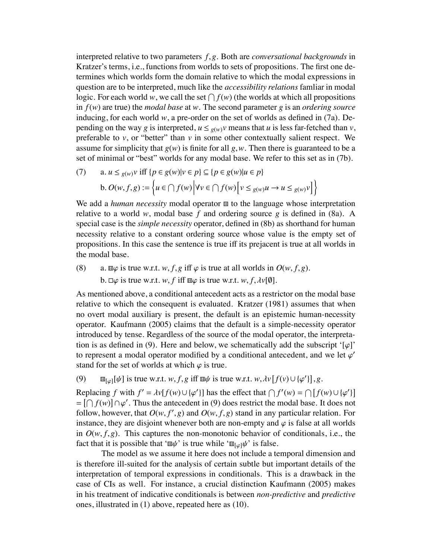interpreted relative to two parameters *f*,*g*. Both are *conversational backgrounds* in Kratzer's terms, i.e., functions from worlds to sets of propositions. The first one determines which worlds form the domain relative to which the modal expressions in question are to be interpreted, much like the *accessibility relations* famliar in modal logic. For each world *w*, we call the set  $\bigcap f(w)$  (the worlds at which all propositions in *f*(*w*) are true) the *modal base* at *w*. The second parameter *g* is an *ordering source* inducing, for each world *w*, a pre-order on the set of worlds as defined in (7a). Depending on the way *g* is interpreted,  $u \leq g(w)v$  means that *u* is less far-fetched than *v*, preferable to  $v$ , or "better" than  $v$  in some other contextually salient respect. We assume for simplicity that  $g(w)$  is finite for all  $g, w$ . Then there is guaranteed to be a set of minimal or "best" worlds for any modal base. We refer to this set as in (7b).

(7)   
\n
$$
\begin{aligned}\n\mathbf{a.} \ u &\leq_{g(w)} v \text{ iff } \{p \in g(w) | v \in p\} \subseteq \{p \in g(w) | u \in p\} \\
\mathbf{b.} \ O(w, f, g) &:= \left\{u \in \bigcap f(w) \, \bigg| \, \forall v \in \bigcap f(w) \, \bigg[v \leq_{g(w)} u \to u \leq_{g(w)} v\big] \right\}\n\end{aligned}
$$

We add a *human necessity* modal operator  $\mathbf{H}$  to the language whose interpretation relative to a world  $w$ , modal base  $f$  and ordering source  $g$  is defined in (8a). A special case is the *simple necessity* operator, defined in (8b) as shorthand for human necessity relative to a constant ordering source whose value is the empty set of propositions. In this case the sentence is true iff its prejacent is true at all worlds in the modal base.

(8) a.  $\mathbb{E} \varphi$  is true w.r.t. *w*, *f*, *g* if  $\varphi$  is true at all worlds in  $O(w, f, g)$ .  $b. \Box \varphi$  is true w.r.t. *w*, *f* iff  $\Box \varphi$  is true w.r.t. *w*, *f*,  $\lambda v[\varnothing]$ .

As mentioned above, a conditional antecedent acts as a restrictor on the modal base relative to which the consequent is evaluated. Kratzer (1981) assumes that when no overt modal auxiliary is present, the default is an epistemic human-necessity operator. Kaufmann (2005) claims that the default is a simple-necessity operator introduced by tense. Regardless of the source of the modal operator, the interpretation is as defined in (9). Here and below, we schematically add the subscript '[ $\varphi$ ]' to represent a modal operator modified by a conditional antecedent, and we let  $\varphi'$ stand for the set of worlds at which  $\varphi$  is true.

 $(9)$  If  $\text{H}_{[\varphi]}[\psi]$  is true w.r.t. *w*, *f*, *g* iff  $\text{H}_{\psi}$  is true w.r.t. *w*,  $\lambda v[f(v) \cup {\varphi'}]$ , *g*.

Replacing *f* with  $f' = \lambda v[f(w) \cup {\varphi'}]$  has the effect that  $\bigcap f'(w) = \bigcap [f(w) \cup {\varphi'}]$  $= [\bigcap f(w)] \cap \varphi'.$  Thus the antecedent in (9) does restrict the modal base. It does not follow, however, that *O*(*w*, *f* ' ,*g*) and *O*(*w*, *f*,*g*) stand in any particular relation. For instance, they are disjoint whenever both are non-empty and  $\varphi$  is false at all worlds in  $O(w, f, g)$ . This captures the non-monotonic behavior of conditionals, i.e., the fact that it is possible that ' $\mathbb{E} \psi'$  is true while ' $\mathbb{E}_{\psi}$ ] $\psi'$  is false.

The model as we assume it here does not include a temporal dimension and is therefore ill-suited for the analysis of certain subtle but important details of the interpretation of temporal expressions in conditionals. This is a drawback in the case of CIs as well. For instance, a crucial distinction Kaufmann (2005) makes in his treatment of indicative conditionals is between *non-predictive* and *predictive* ones, illustrated in (1) above, repeated here as (10).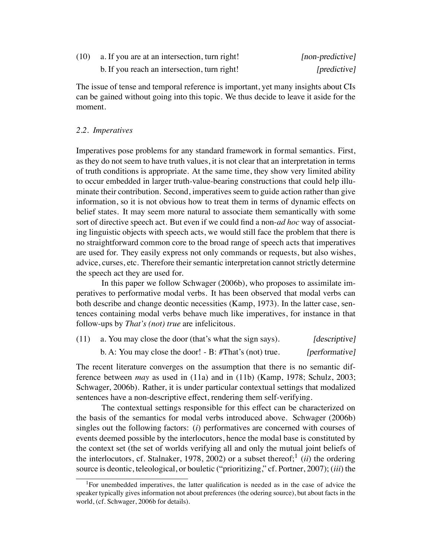| (10) | a. If you are at an intersection, turn right! | [non-predictive] |
|------|-----------------------------------------------|------------------|
|      | b. If you reach an intersection, turn right!  | [predictive]     |

The issue of tense and temporal reference is important, yet many insights about CIs can be gained without going into this topic. We thus decide to leave it aside for the moment.

# *2.2. Imperatives*

Imperatives pose problems for any standard framework in formal semantics. First, as they do not seem to have truth values, it is not clear that an interpretation in terms of truth conditions is appropriate. At the same time, they show very limited ability to occur embedded in larger truth-value-bearing constructions that could help illuminate their contribution. Second, imperatives seem to guide action rather than give information, so it is not obvious how to treat them in terms of dynamic effects on belief states. It may seem more natural to associate them semantically with some sort of directive speech act. But even if we could find a non-*ad hoc* way of associating linguistic objects with speech acts, we would still face the problem that there is no straightforward common core to the broad range of speech acts that imperatives are used for. They easily express not only commands or requests, but also wishes, advice, curses, etc. Therefore their semantic interpretation cannot strictly determine the speech act they are used for.

In this paper we follow Schwager (2006b), who proposes to assimilate imperatives to performative modal verbs. It has been observed that modal verbs can both describe and change deontic necessities (Kamp, 1973). In the latter case, sentences containing modal verbs behave much like imperatives, for instance in that follow-ups by *That's (not) true* are infelicitous.

| (11) | a. You may close the door (that's what the sign says).    | [descriptive]  |
|------|-----------------------------------------------------------|----------------|
|      | b. A: You may close the door! $- B$ : #That's (not) true. | [performative] |

The recent literature converges on the assumption that there is no semantic difference between *may* as used in (11a) and in (11b) (Kamp, 1978; Schulz, 2003; Schwager, 2006b). Rather, it is under particular contextual settings that modalized sentences have a non-descriptive effect, rendering them self-verifying.

The contextual settings responsible for this effect can be characterized on the basis of the semantics for modal verbs introduced above. Schwager (2006b) singles out the following factors: (*i*) performatives are concerned with courses of events deemed possible by the interlocutors, hence the modal base is constituted by the context set (the set of worlds verifying all and only the mutual joint beliefs of the interlocutors, cf. Stalnaker, 1978, 2002) or a subset thereof;<sup>1</sup> (*ii*) the ordering source is deontic, teleological, or bouletic ("prioritizing," cf. Portner, 2007); (*iii*) the

<sup>&</sup>lt;sup>1</sup>For unembedded imperatives, the latter qualification is needed as in the case of advice the speaker typically gives information not about preferences (the odering source), but about facts in the world, (cf. Schwager, 2006b for details).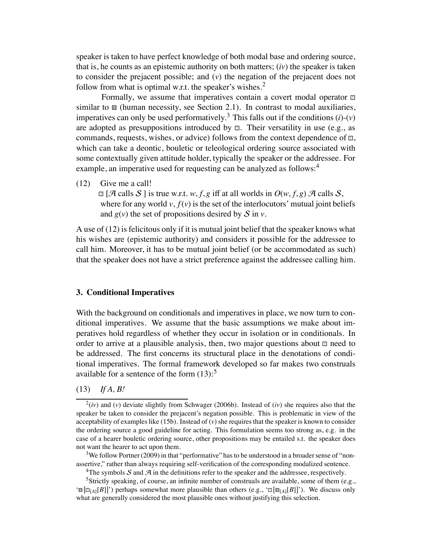speaker is taken to have perfect knowledge of both modal base and ordering source, that is, he counts as an epistemic authority on both matters; (*iv*) the speaker is taken to consider the prejacent possible; and (*v*) the negation of the prejacent does not follow from what is optimal w.r.t. the speaker's wishes.<sup>2</sup>

Formally, we assume that imperatives contain a covert modal operator  $\Box$ similar to  $\mathbf{H}$  (human necessity, see Section 2.1). In contrast to modal auxiliaries, imperatives can only be used performatively.<sup>3</sup> This falls out if the conditions  $(i)-(v)$ are adopted as presuppositions introduced by  $\Box$ . Their versatility in use (e.g., as commands, requests, wishes, or advice) follows from the context dependence of  $\mathbf{r}$ , which can take a deontic, bouletic or teleological ordering source associated with some contextually given attitude holder, typically the speaker or the addressee. For example, an imperative used for requesting can be analyzed as follows:<sup>4</sup>

(12) Give me a call!

 $\Box$  [A calls S ] is true w.r.t. *w*, *f*, *g* iff at all worlds in  $O(w, f, g)$  A calls S, where for any world  $v$ ,  $f(v)$  is the set of the interlocutors' mutual joint beliefs and  $g(v)$  the set of propositions desired by S in *v*.

A use of (12) is felicitous only if it is mutual joint belief that the speaker knows what his wishes are (epistemic authority) and considers it possible for the addressee to call him. Moreover, it has to be mutual joint belief (or be accommodated as such) that the speaker does not have a strict preference against the addressee calling him.

### **3. Conditional Imperatives**

With the background on conditionals and imperatives in place, we now turn to conditional imperatives. We assume that the basic assumptions we make about imperatives hold regardless of whether they occur in isolation or in conditionals. In order to arrive at a plausible analysis, then, two major questions about  $\Box$  need to be addressed. The first concerns its structural place in the denotations of conditional imperatives. The formal framework developed so far makes two construals available for a sentence of the form  $(13)$ :<sup>5</sup>

# (13) *If A, B!*

 $^{2}(iv)$  and (*v*) deviate slightly from Schwager (2006b). Instead of (*iv*) she requires also that the speaker be taken to consider the prejacent's negation possible. This is problematic in view of the acceptability of examples like (15b). Instead of (*v*) she requires that the speaker is known to consider the ordering source a good guideline for acting. This formulation seems too strong as, e.g. in the case of a hearer bouletic ordering source, other propositions may be entailed s.t. the speaker does not want the hearer to act upon them.

 $3$ We follow Portner (2009) in that "performative" has to be understood in a broader sense of "nonassertive," rather than always requiring self-verification of the corresponding modalized sentence.

<sup>&</sup>lt;sup>4</sup>The symbols S and  $\mathcal{A}$  in the definitions refer to the speaker and the addressee, respectively.

<sup>&</sup>lt;sup>5</sup>Strictly speaking, of course, an infinite number of construals are available, some of them (e.g., ' $\mathbb{E}[\mathbb{E}_{[A]}[B]]'$ ') perhaps somewhat more plausible than others (e.g., ' $\mathbb{E}[\mathbb{E}_{[A]}[B]]'$ ). We discuss only what are generally considered the most plausible ones without justifying this selection.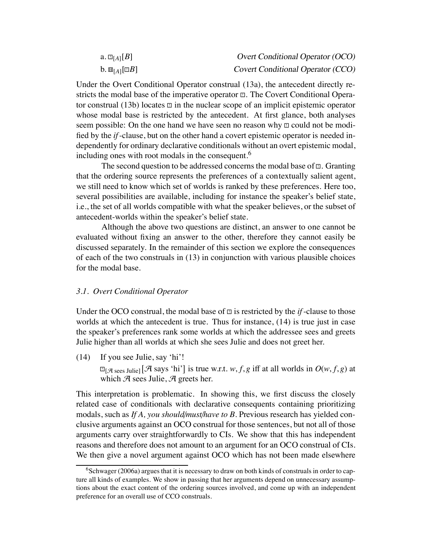| a. $\square_{\lceil A \rceil}[B]$             | <b>Overt Conditional Operator (OCO)</b> |
|-----------------------------------------------|-----------------------------------------|
| $\mathbf{b}$ . $\mathbf{H}_{[A]}[\mathbf{B}]$ | Covert Conditional Operator (CCO)       |

Under the Overt Conditional Operator construal (13a), the antecedent directly restricts the modal base of the imperative operator  $\mathbf{m}$ . The Covert Conditional Operator construal (13b) locates  $\mathbb{D}$  in the nuclear scope of an implicit epistemic operator whose modal base is restricted by the antecedent. At first glance, both analyses seem possible: On the one hand we have seen no reason why  $\mathbb{Z}$  could not be modified by the *if*-clause, but on the other hand a covert epistemic operator is needed independently for ordinary declarative conditionals without an overt epistemic modal, including ones with root modals in the consequent.<sup>6</sup>

The second question to be addressed concerns the modal base of  $\Xi$ . Granting that the ordering source represents the preferences of a contextually salient agent, we still need to know which set of worlds is ranked by these preferences. Here too, several possibilities are available, including for instance the speaker's belief state, i.e., the set of all worlds compatible with what the speaker believes, or the subset of antecedent-worlds within the speaker's belief state.

Although the above two questions are distinct, an answer to one cannot be evaluated without fixing an answer to the other, therefore they cannot easily be discussed separately. In the remainder of this section we explore the consequences of each of the two construals in (13) in conjunction with various plausible choices for the modal base.

#### *3.1. Overt Conditional Operator*

Under the OCO construal, the modal base of  $\Box$  is restricted by the *if*-clause to those worlds at which the antecedent is true. Thus for instance, (14) is true just in case the speaker's preferences rank some worlds at which the addressee sees and greets Julie higher than all worlds at which she sees Julie and does not greet her.

(14) If you see Julie, say 'hi'!

 $\Box$ [*A* sees Julie] [*A* says 'hi'] is true w.r.t. *w*, *f*, *g* iff at all worlds in  $O(w, f, g)$  at which  $A$  sees Julie,  $A$  greets her.

This interpretation is problematic. In showing this, we first discuss the closely related case of conditionals with declarative consequents containing prioritizing modals, such as *If A, you should*/*must*/*have to B*. Previous research has yielded conclusive arguments against an OCO construal for those sentences, but not all of those arguments carry over straightforwardly to CIs. We show that this has independent reasons and therefore does not amount to an argument for an OCO construal of CIs. We then give a novel argument against OCO which has not been made elsewhere

 $6$ Schwager (2006a) argues that it is necessary to draw on both kinds of construals in order to capture all kinds of examples. We show in passing that her arguments depend on unnecessary assumptions about the exact content of the ordering sources involved, and come up with an independent preference for an overall use of CCO construals.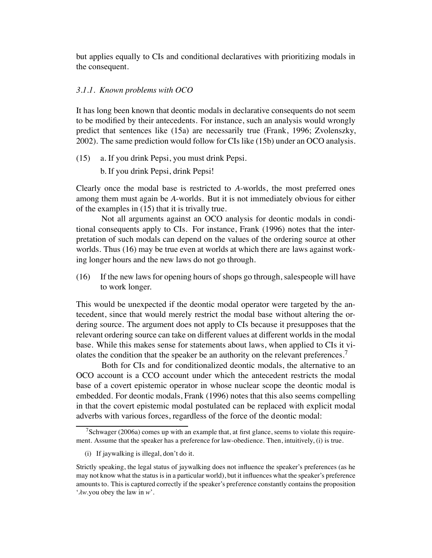but applies equally to CIs and conditional declaratives with prioritizing modals in the consequent.

## *3.1.1. Known problems with OCO*

It has long been known that deontic modals in declarative consequents do not seem to be modified by their antecedents. For instance, such an analysis would wrongly predict that sentences like (15a) are necessarily true (Frank, 1996; Zvolenszky, 2002). The same prediction would follow for CIs like (15b) under an OCO analysis.

(15) a. If you drink Pepsi, you must drink Pepsi.

b. If you drink Pepsi, drink Pepsi!

Clearly once the modal base is restricted to *A*-worlds, the most preferred ones among them must again be *A*-worlds. But it is not immediately obvious for either of the examples in (15) that it is trivally true.

Not all arguments against an OCO analysis for deontic modals in conditional consequents apply to CIs. For instance, Frank (1996) notes that the interpretation of such modals can depend on the values of the ordering source at other worlds. Thus (16) may be true even at worlds at which there are laws against working longer hours and the new laws do not go through.

(16) If the new laws for opening hours of shops go through, salespeople will have to work longer.

This would be unexpected if the deontic modal operator were targeted by the antecedent, since that would merely restrict the modal base without altering the ordering source. The argument does not apply to CIs because it presupposes that the relevant ordering source can take on different values at different worlds in the modal base. While this makes sense for statements about laws, when applied to CIs it violates the condition that the speaker be an authority on the relevant preferences.<sup>7</sup>

Both for CIs and for conditionalized deontic modals, the alternative to an OCO account is a CCO account under which the antecedent restricts the modal base of a covert epistemic operator in whose nuclear scope the deontic modal is embedded. For deontic modals, Frank (1996) notes that this also seems compelling in that the covert epistemic modal postulated can be replaced with explicit modal adverbs with various forces, regardless of the force of the deontic modal:

 $7$ Schwager (2006a) comes up with an example that, at first glance, seems to violate this requirement. Assume that the speaker has a preference for law-obedience. Then, intuitively, (i) is true.

<sup>(</sup>i) If jaywalking is illegal, don't do it.

Strictly speaking, the legal status of jaywalking does not influence the speaker's preferences (as he may not know what the status is in a particular world), but it influences what the speaker's preference amounts to. This is captured correctly if the speaker's preference constantly contains the proposition 'λ*w*.you obey the law in *w*'.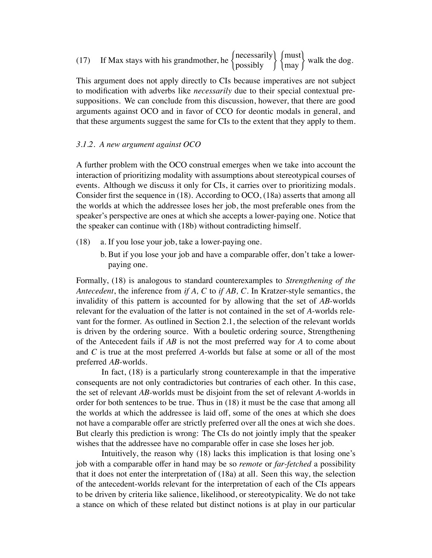| " If Max stays with his grandmother, he $\begin{cases} \text{necessaryily} \\ \text{possibly} \end{cases} \begin{cases} \text{must} \\ \text{max} \end{cases}$ walk the $\sim$ |  |  |
|--------------------------------------------------------------------------------------------------------------------------------------------------------------------------------|--|--|
|                                                                                                                                                                                |  |  |

This argument does not apply directly to CIs because imperatives are not subject to modification with adverbs like *necessarily* due to their special contextual presuppositions. We can conclude from this discussion, however, that there are good arguments against OCO and in favor of CCO for deontic modals in general, and that these arguments suggest the same for CIs to the extent that they apply to them.

## *3.1.2. A new argument against OCO*

A further problem with the OCO construal emerges when we take into account the interaction of prioritizing modality with assumptions about stereotypical courses of events. Although we discuss it only for CIs, it carries over to prioritizing modals. Consider first the sequence in (18). According to OCO, (18a) asserts that among all the worlds at which the addressee loses her job, the most preferable ones from the speaker's perspective are ones at which she accepts a lower-paying one. Notice that the speaker can continue with (18b) without contradicting himself.

- (18) a. If you lose your job, take a lower-paying one.
	- b. But if you lose your job and have a comparable offer, don't take a lowerpaying one.

Formally, (18) is analogous to standard counterexamples to *Strengthening of the Antecedent*, the inference from *if A, C* to *if AB, C*. In Kratzer-style semantics, the invalidity of this pattern is accounted for by allowing that the set of *AB*-worlds relevant for the evaluation of the latter is not contained in the set of *A*-worlds relevant for the former. As outlined in Section 2.1, the selection of the relevant worlds is driven by the ordering source. With a bouletic ordering source, Strengthening of the Antecedent fails if *AB* is not the most preferred way for *A* to come about and *C* is true at the most preferred *A*-worlds but false at some or all of the most preferred *AB*-worlds.

In fact, (18) is a particularly strong counterexample in that the imperative consequents are not only contradictories but contraries of each other. In this case, the set of relevant *AB*-worlds must be disjoint from the set of relevant *A*-worlds in order for both sentences to be true. Thus in (18) it must be the case that among all the worlds at which the addressee is laid off, some of the ones at which she does not have a comparable offer are strictly preferred over all the ones at wich she does. But clearly this prediction is wrong: The CIs do not jointly imply that the speaker wishes that the addressee have no comparable offer in case she loses her job.

Intuitively, the reason why (18) lacks this implication is that losing one's job with a comparable offer in hand may be so *remote* or *far-fetched* a possibility that it does not enter the interpretation of (18a) at all. Seen this way, the selection of the antecedent-worlds relevant for the interpretation of each of the CIs appears to be driven by criteria like salience, likelihood, or stereotypicality. We do not take a stance on which of these related but distinct notions is at play in our particular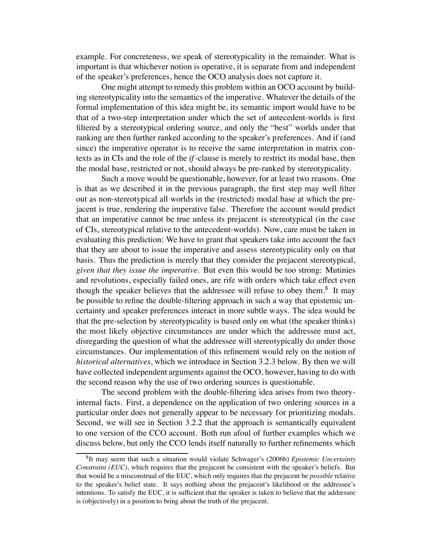example. For concreteness, we speak of stereotypicality in the remainder. What is important is that whichever notion is operative, it is separate from and independent of the speaker's preferences, hence the OCO analysis does not capture it.

One might attempt to remedy this problem within an OCO account by building stereotypicality into the semantics of the imperative. Whatever the details of the formal implementation of this idea might be, its semantic import would have to be that of a two-step interpretation under which the set of antecedent-worlds is first filtered by a stereotypical ordering source, and only the "best" worlds under that ranking are then further ranked according to the speaker's preferences. And if (and since) the imperative operator is to receive the same interpretation in matrix contexts as in CIs and the role of the *if*-clause is merely to restrict its modal base, then the modal base, restricted or not, should always be pre-ranked by stereotypicality.

Such a move would be questionable, however, for at least two reasons. One is that as we described it in the previous paragraph, the first step may well filter out as non-stereotypical all worlds in the (restricted) modal base at which the prejacent is true, rendering the imperative false. Therefore the account would predict that an imperative cannot be true unless its prejacent is stereotypical (in the case of CIs, stereotypical relative to the antecedent-worlds). Now, care must be taken in evaluating this prediction: We have to grant that speakers take into account the fact that they are about to issue the imperative and assess stereotypicality only on that basis. Thus the prediction is merely that they consider the prejacent stereotypical, *given that they issue the imperative*. But even this would be too strong: Mutinies and revolutions, especially failed ones, are rife with orders which take effect even though the speaker believes that the addressee will refuse to obey them.<sup>8</sup> It may be possible to refine the double-filtering approach in such a way that epistemic uncertainty and speaker preferences interact in more subtle ways. The idea would be that the pre-selection by stereotypicality is based only on what (the speaker thinks) the most likely objective circumstances are under which the addressee must act, disregarding the question of what the addressee will stereotypically do under those circumstances. Our implementation of this refinement would rely on the notion of *historical alternatives*, which we introduce in Section 3.2.3 below. By then we will have collected independent arguments against the OCO, however, having to do with the second reason why the use of two ordering sources is questionable.

The second problem with the double-filtering idea arises from two theoryinternal facts. First, a dependence on the application of two ordering sources in a particular order does not generally appear to be necessary for prioritizing modals. Second, we will see in Section 3.2.2 that the approach is semantically equivalent to one version of the CCO account. Both run afoul of further examples which we discuss below, but only the CCO lends itself naturally to further refinements which

<sup>8</sup>It may seem that such a situation would violate Schwager's (2006b) *Epistemic Uncertainty Constraint (EUC)*, which requires that the prejacent be consistent with the speaker's beliefs. But that would be a misconstrual of the EUC, which only requires that the prejacent be *possible* relative to the speaker's belief state. It says nothing about the prejacent's likelihood or the addressee's intentions. To satisfy the EUC, it is sufficient that the speaker is taken to believe that the addressee is (objectively) in a position to bring about the truth of the prejacent.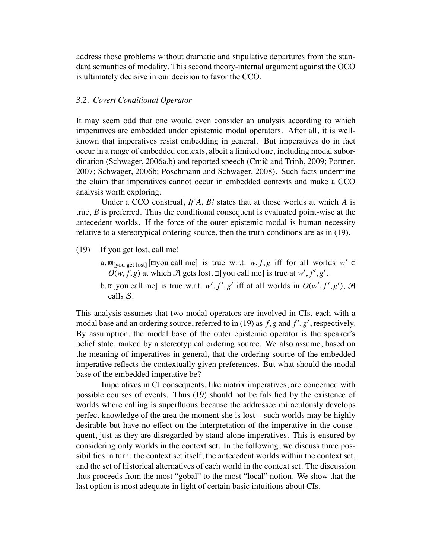address those problems without dramatic and stipulative departures from the standard semantics of modality. This second theory-internal argument against the OCO is ultimately decisive in our decision to favor the CCO.

# *3.2. Covert Conditional Operator*

It may seem odd that one would even consider an analysis according to which imperatives are embedded under epistemic modal operators. After all, it is wellknown that imperatives resist embedding in general. But imperatives do in fact occur in a range of embedded contexts, albeit a limited one, including modal subordination (Schwager, 2006a,b) and reported speech (Crnič and Trinh, 2009; Portner, 2007; Schwager, 2006b; Poschmann and Schwager, 2008). Such facts undermine the claim that imperatives cannot occur in embedded contexts and make a CCO analysis worth exploring.

Under a CCO construal, *If A, B!* states that at those worlds at which *A* is true, *B* is preferred. Thus the conditional consequent is evaluated point-wise at the antecedent worlds. If the force of the outer epistemic modal is human necessity relative to a stereotypical ordering source, then the truth conditions are as in (19).

- (19) If you get lost, call me!
	- a.  $\mathbb{E}_{[\text{you get lost}]}$  [ $\text{Myou call me}$ ] is true w.r.t.  $w, f, g$  iff for all worlds  $w' \in$  $O(w, f, g)$  at which A gets lost,  $\mathbb{I}[y \text{ ou call me}]$  is true at  $w', f', g'$ .
	- b.  $\mathbb{E}[\text{you call me}]$  is true w.r.t. *w'*, *f'*, *g'* iff at all worlds in  $O(w', f', g')$ ,  $\mathcal{A}$ calls S.

This analysis assumes that two modal operators are involved in CIs, each with a modal base and an ordering source, referred to in (19) as *f*,*g* and *f* ' ,*g*' , respectively. By assumption, the modal base of the outer epistemic operator is the speaker's belief state, ranked by a stereotypical ordering source. We also assume, based on the meaning of imperatives in general, that the ordering source of the embedded imperative reflects the contextually given preferences. But what should the modal base of the embedded imperative be?

Imperatives in CI consequents, like matrix imperatives, are concerned with possible courses of events. Thus (19) should not be falsified by the existence of worlds where calling is superfluous because the addressee miraculously develops perfect knowledge of the area the moment she is lost – such worlds may be highly desirable but have no effect on the interpretation of the imperative in the consequent, just as they are disregarded by stand-alone imperatives. This is ensured by considering only worlds in the context set. In the following, we discuss three possibilities in turn: the context set itself, the antecedent worlds within the context set, and the set of historical alternatives of each world in the context set. The discussion thus proceeds from the most "gobal" to the most "local" notion. We show that the last option is most adequate in light of certain basic intuitions about CIs.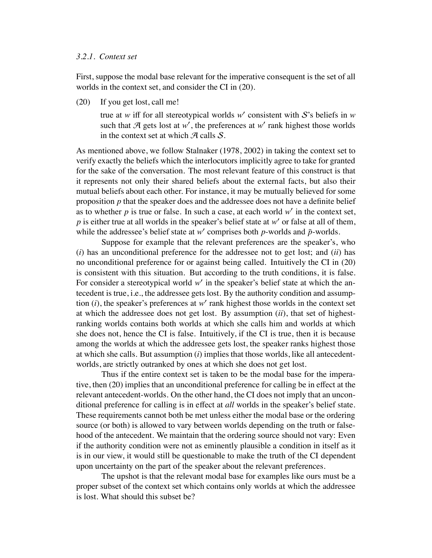#### *3.2.1. Context set*

First, suppose the modal base relevant for the imperative consequent is the set of all worlds in the context set, and consider the CI in (20).

(20) If you get lost, call me!

true at *w* iff for all stereotypical worlds *w*' consistent with S's beliefs in *w* such that  $A$  gets lost at  $w'$ , the preferences at  $w'$  rank highest those worlds in the context set at which  $\mathcal{A}$  calls  $\mathcal{S}$ .

As mentioned above, we follow Stalnaker (1978, 2002) in taking the context set to verify exactly the beliefs which the interlocutors implicitly agree to take for granted for the sake of the conversation. The most relevant feature of this construct is that it represents not only their shared beliefs about the external facts, but also their mutual beliefs about each other. For instance, it may be mutually believed for some proposition *p* that the speaker does and the addressee does not have a definite belief as to whether *p* is true or false. In such a case, at each world *w*' in the context set, *p* is either true at all worlds in the speaker's belief state at *w*' or false at all of them, while the addressee's belief state at  $w'$  comprises both  $p$ -worlds and  $\bar{p}$ -worlds.

Suppose for example that the relevant preferences are the speaker's, who (*i*) has an unconditional preference for the addressee not to get lost; and (*ii*) has no unconditional preference for or against being called. Intuitively the CI in (20) is consistent with this situation. But according to the truth conditions, it is false. For consider a stereotypical world *w*' in the speaker's belief state at which the antecedent is true, i.e., the addressee gets lost. By the authority condition and assumption (*i*), the speaker's preferences at *w*' rank highest those worlds in the context set at which the addressee does not get lost. By assumption (*ii*), that set of highestranking worlds contains both worlds at which she calls him and worlds at which she does not, hence the CI is false. Intuitively, if the CI is true, then it is because among the worlds at which the addressee gets lost, the speaker ranks highest those at which she calls. But assumption (*i*) implies that those worlds, like all antecedentworlds, are strictly outranked by ones at which she does not get lost.

Thus if the entire context set is taken to be the modal base for the imperative, then (20) implies that an unconditional preference for calling be in effect at the relevant antecedent-worlds. On the other hand, the CI does not imply that an unconditional preference for calling is in effect at *all* worlds in the speaker's belief state. These requirements cannot both be met unless either the modal base or the ordering source (or both) is allowed to vary between worlds depending on the truth or falsehood of the antecedent. We maintain that the ordering source should not vary: Even if the authority condition were not as eminently plausible a condition in itself as it is in our view, it would still be questionable to make the truth of the CI dependent upon uncertainty on the part of the speaker about the relevant preferences.

The upshot is that the relevant modal base for examples like ours must be a proper subset of the context set which contains only worlds at which the addressee is lost. What should this subset be?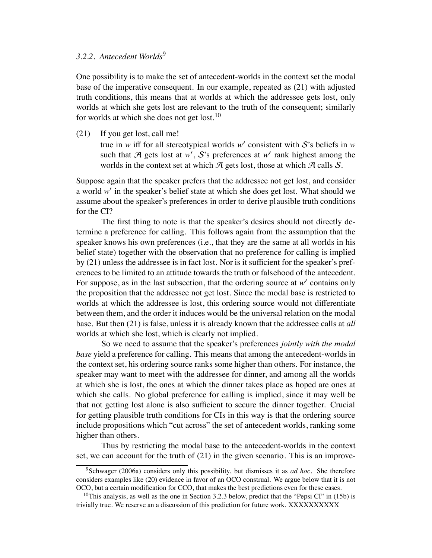# *3.2.2. Antecedent Worlds*<sup>9</sup>

One possibility is to make the set of antecedent-worlds in the context set the modal base of the imperative consequent. In our example, repeated as (21) with adjusted truth conditions, this means that at worlds at which the addressee gets lost, only worlds at which she gets lost are relevant to the truth of the consequent; similarly for worlds at which she does not get lost.<sup>10</sup>

(21) If you get lost, call me!

true in *w* iff for all stereotypical worlds *w*' consistent with S's beliefs in *w* such that  $A$  gets lost at  $w'$ ,  $S$ 's preferences at  $w'$  rank highest among the worlds in the context set at which  $\mathcal A$  gets lost, those at which  $\mathcal A$  calls  $\mathcal S$ .

Suppose again that the speaker prefers that the addressee not get lost, and consider a world *w*' in the speaker's belief state at which she does get lost. What should we assume about the speaker's preferences in order to derive plausible truth conditions for the CI?

The first thing to note is that the speaker's desires should not directly determine a preference for calling. This follows again from the assumption that the speaker knows his own preferences (i.e., that they are the same at all worlds in his belief state) together with the observation that no preference for calling is implied by (21) unless the addressee is in fact lost. Nor is it sufficient for the speaker's preferences to be limited to an attitude towards the truth or falsehood of the antecedent. For suppose, as in the last subsection, that the ordering source at *w*' contains only the proposition that the addressee not get lost. Since the modal base is restricted to worlds at which the addressee is lost, this ordering source would not differentiate between them, and the order it induces would be the universal relation on the modal base. But then (21) is false, unless it is already known that the addressee calls at *all* worlds at which she lost, which is clearly not implied.

So we need to assume that the speaker's preferences *jointly with the modal base* yield a preference for calling. This means that among the antecedent-worlds in the context set, his ordering source ranks some higher than others. For instance, the speaker may want to meet with the addressee for dinner, and among all the worlds at which she is lost, the ones at which the dinner takes place as hoped are ones at which she calls. No global preference for calling is implied, since it may well be that not getting lost alone is also sufficient to secure the dinner together. Crucial for getting plausible truth conditions for CIs in this way is that the ordering source include propositions which "cut across" the set of antecedent worlds, ranking some higher than others.

Thus by restricting the modal base to the antecedent-worlds in the context set, we can account for the truth of (21) in the given scenario. This is an improve-

<sup>9</sup>Schwager (2006a) considers only this possibility, but dismisses it as *ad hoc*. She therefore considers examples like (20) evidence in favor of an OCO construal. We argue below that it is not OCO, but a certain modification for CCO, that makes the best predictions even for these cases.

<sup>&</sup>lt;sup>10</sup>This analysis, as well as the one in Section 3.2.3 below, predict that the "Pepsi CI" in (15b) is trivially true. We reserve an a discussion of this prediction for future work. XXXXXXXXXX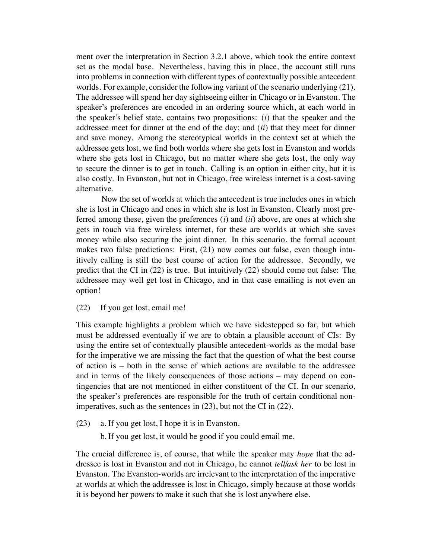ment over the interpretation in Section 3.2.1 above, which took the entire context set as the modal base. Nevertheless, having this in place, the account still runs into problems in connection with different types of contextually possible antecedent worlds. For example, consider the following variant of the scenario underlying (21). The addressee will spend her day sightseeing either in Chicago or in Evanston. The speaker's preferences are encoded in an ordering source which, at each world in the speaker's belief state, contains two propositions: (*i*) that the speaker and the addressee meet for dinner at the end of the day; and (*ii*) that they meet for dinner and save money. Among the stereotypical worlds in the context set at which the addressee gets lost, we find both worlds where she gets lost in Evanston and worlds where she gets lost in Chicago, but no matter where she gets lost, the only way to secure the dinner is to get in touch. Calling is an option in either city, but it is also costly. In Evanston, but not in Chicago, free wireless internet is a cost-saving alternative.

Now the set of worlds at which the antecedent is true includes ones in which she is lost in Chicago and ones in which she is lost in Evanston. Clearly most preferred among these, given the preferences (*i*) and (*ii*) above, are ones at which she gets in touch via free wireless internet, for these are worlds at which she saves money while also securing the joint dinner. In this scenario, the formal account makes two false predictions: First, (21) now comes out false, even though intuitively calling is still the best course of action for the addressee. Secondly, we predict that the CI in (22) is true. But intuitively (22) should come out false: The addressee may well get lost in Chicago, and in that case emailing is not even an option!

(22) If you get lost, email me!

This example highlights a problem which we have sidestepped so far, but which must be addressed eventually if we are to obtain a plausible account of CIs: By using the entire set of contextually plausible antecedent-worlds as the modal base for the imperative we are missing the fact that the question of what the best course of action is – both in the sense of which actions are available to the addressee and in terms of the likely consequences of those actions – may depend on contingencies that are not mentioned in either constituent of the CI. In our scenario, the speaker's preferences are responsible for the truth of certain conditional nonimperatives, such as the sentences in (23), but not the CI in (22).

- (23) a. If you get lost, I hope it is in Evanston.
	- b. If you get lost, it would be good if you could email me.

The crucial difference is, of course, that while the speaker may *hope* that the addressee is lost in Evanston and not in Chicago, he cannot *tell*/*ask her* to be lost in Evanston. The Evanston-worlds are irrelevant to the interpretation of the imperative at worlds at which the addressee is lost in Chicago, simply because at those worlds it is beyond her powers to make it such that she is lost anywhere else.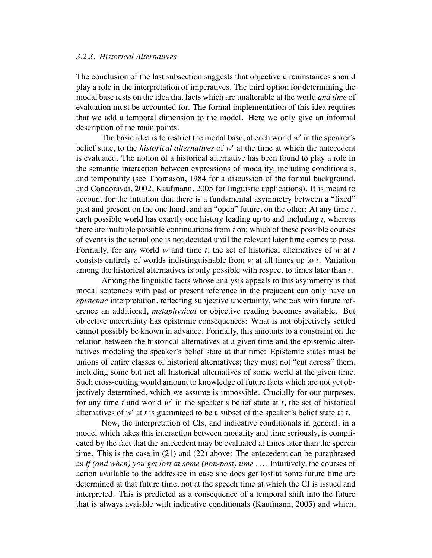#### *3.2.3. Historical Alternatives*

The conclusion of the last subsection suggests that objective circumstances should play a role in the interpretation of imperatives. The third option for determining the modal base rests on the idea that facts which are unalterable at the world *and time* of evaluation must be accounted for. The formal implementation of this idea requires that we add a temporal dimension to the model. Here we only give an informal description of the main points.

The basic idea is to restrict the modal base, at each world *w*' in the speaker's belief state, to the *historical alternatives* of *w*' at the time at which the antecedent is evaluated. The notion of a historical alternative has been found to play a role in the semantic interaction between expressions of modality, including conditionals, and temporality (see Thomason, 1984 for a discussion of the formal background, and Condoravdi, 2002, Kaufmann, 2005 for linguistic applications). It is meant to account for the intuition that there is a fundamental asymmetry between a "fixed" past and present on the one hand, and an "open" future, on the other: At any time *t*, each possible world has exactly one history leading up to and including *t*, whereas there are multiple possible continuations from *t* on; which of these possible courses of events is the actual one is not decided until the relevant later time comes to pass. Formally, for any world *w* and time *t*, the set of historical alternatives of *w* at *t* consists entirely of worlds indistinguishable from *w* at all times up to *t*. Variation among the historical alternatives is only possible with respect to times later than *t*.

Among the linguistic facts whose analysis appeals to this asymmetry is that modal sentences with past or present reference in the prejacent can only have an *epistemic* interpretation, reflecting subjective uncertainty, whereas with future reference an additional, *metaphysical* or objective reading becomes available. But objective uncertainty has epistemic consequences: What is not objectively settled cannot possibly be known in advance. Formally, this amounts to a constraint on the relation between the historical alternatives at a given time and the epistemic alternatives modeling the speaker's belief state at that time: Epistemic states must be unions of entire classes of historical alternatives; they must not "cut across" them, including some but not all historical alternatives of some world at the given time. Such cross-cutting would amount to knowledge of future facts which are not yet objectively determined, which we assume is impossible. Crucially for our purposes, for any time *t* and world *w*' in the speaker's belief state at *t*, the set of historical alternatives of *w*' at *t* is guaranteed to be a subset of the speaker's belief state at *t*.

Now, the interpretation of CIs, and indicative conditionals in general, in a model which takes this interaction between modality and time seriously, is complicated by the fact that the antecedent may be evaluated at times later than the speech time. This is the case in (21) and (22) above: The antecedent can be paraphrased as *If (and when) you get lost at some (non-past) time . . .* . Intuitively, the courses of action available to the addressee in case she does get lost at some future time are determined at that future time, not at the speech time at which the CI is issued and interpreted. This is predicted as a consequence of a temporal shift into the future that is always avaiable with indicative conditionals (Kaufmann, 2005) and which,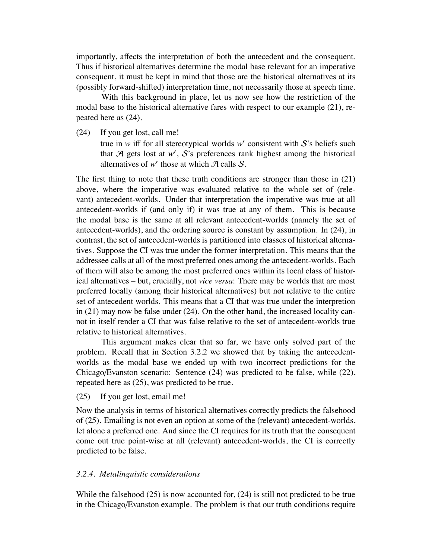importantly, affects the interpretation of both the antecedent and the consequent. Thus if historical alternatives determine the modal base relevant for an imperative consequent, it must be kept in mind that those are the historical alternatives at its (possibly forward-shifted) interpretation time, not necessarily those at speech time.

With this background in place, let us now see how the restriction of the modal base to the historical alternative fares with respect to our example (21), repeated here as (24).

(24) If you get lost, call me!

true in *w* iff for all stereotypical worlds *w'* consistent with  $S$ 's beliefs such that  $A$  gets lost at  $w'$ ,  $S$ 's preferences rank highest among the historical alternatives of  $w'$  those at which  $\mathcal A$  calls  $\mathcal S$ .

The first thing to note that these truth conditions are stronger than those in (21) above, where the imperative was evaluated relative to the whole set of (relevant) antecedent-worlds. Under that interpretation the imperative was true at all antecedent-worlds if (and only if) it was true at any of them. This is because the modal base is the same at all relevant antecedent-worlds (namely the set of antecedent-worlds), and the ordering source is constant by assumption. In (24), in contrast, the set of antecedent-worlds is partitioned into classes of historical alternatives. Suppose the CI was true under the former interpretation. This means that the addressee calls at all of the most preferred ones among the antecedent-worlds. Each of them will also be among the most preferred ones within its local class of historical alternatives – but, crucially, not *vice versa*: There may be worlds that are most preferred locally (among their historical alternatives) but not relative to the entire set of antecedent worlds. This means that a CI that was true under the interpretion in (21) may now be false under (24). On the other hand, the increased locality cannot in itself render a CI that was false relative to the set of antecedent-worlds true relative to historical alternatives.

This argument makes clear that so far, we have only solved part of the problem. Recall that in Section 3.2.2 we showed that by taking the antecedentworlds as the modal base we ended up with two incorrect predictions for the Chicago/Evanston scenario: Sentence (24) was predicted to be false, while (22), repeated here as (25), was predicted to be true.

(25) If you get lost, email me!

Now the analysis in terms of historical alternatives correctly predicts the falsehood of (25). Emailing is not even an option at some of the (relevant) antecedent-worlds, let alone a preferred one. And since the CI requires for its truth that the consequent come out true point-wise at all (relevant) antecedent-worlds, the CI is correctly predicted to be false.

#### *3.2.4. Metalinguistic considerations*

While the falsehood  $(25)$  is now accounted for,  $(24)$  is still not predicted to be true in the Chicago/Evanston example. The problem is that our truth conditions require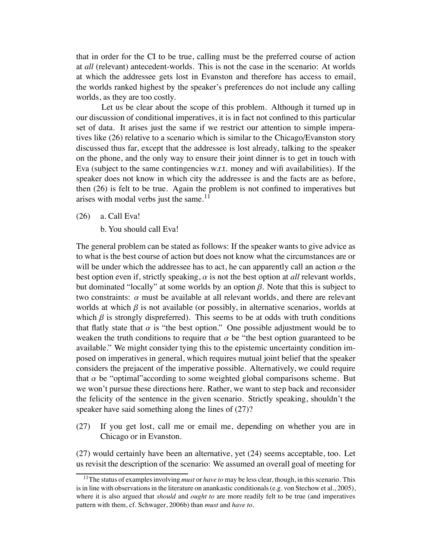that in order for the CI to be true, calling must be the preferred course of action at *all* (relevant) antecedent-worlds. This is not the case in the scenario: At worlds at which the addressee gets lost in Evanston and therefore has access to email, the worlds ranked highest by the speaker's preferences do not include any calling worlds, as they are too costly.

Let us be clear about the scope of this problem. Although it turned up in our discussion of conditional imperatives, it is in fact not confined to this particular set of data. It arises just the same if we restrict our attention to simple imperatives like (26) relative to a scenario which is similar to the Chicago/Evanston story discussed thus far, except that the addressee is lost already, talking to the speaker on the phone, and the only way to ensure their joint dinner is to get in touch with Eva (subject to the same contingencies w.r.t. money and wifi availabilities). If the speaker does not know in which city the addressee is and the facts are as before, then (26) is felt to be true. Again the problem is not confined to imperatives but arises with modal verbs just the same. $11$ 

- (26) a. Call Eva!
	- b. You should call Eva!

The general problem can be stated as follows: If the speaker wants to give advice as to what is the best course of action but does not know what the circumstances are or will be under which the addressee has to act, he can apparently call an action  $\alpha$  the best option even if, strictly speaking,  $\alpha$  is not the best option at *all* relevant worlds, but dominated "locally" at some worlds by an option  $β$ . Note that this is subject to two constraints:  $\alpha$  must be available at all relevant worlds, and there are relevant worlds at which  $\beta$  is not available (or possibly, in alternative scenarios, worlds at which  $\beta$  is strongly dispreferred). This seems to be at odds with truth conditions that flatly state that  $\alpha$  is "the best option." One possible adjustment would be to weaken the truth conditions to require that  $\alpha$  be "the best option guaranteed to be available." We might consider tying this to the epistemic uncertainty condition imposed on imperatives in general, which requires mutual joint belief that the speaker considers the prejacent of the imperative possible. Alternatively, we could require that  $\alpha$  be "optimal" according to some weighted global comparisons scheme. But we won't pursue these directions here. Rather, we want to step back and reconsider the felicity of the sentence in the given scenario. Strictly speaking, shouldn't the speaker have said something along the lines of (27)?

(27) If you get lost, call me or email me, depending on whether you are in Chicago or in Evanston.

(27) would certainly have been an alternative, yet (24) seems acceptable, too. Let us revisit the description of the scenario: We assumed an overall goal of meeting for

<sup>11</sup>The status of examples involving *must* or *have to* may be less clear, though, in this scenario. This is in line with observations in the literature on anankastic conditionals (e.g. von Stechow et al., 2005), where it is also argued that *should* and *ought to* are more readily felt to be true (and imperatives pattern with them, cf. Schwager, 2006b) than *must* and *have to*.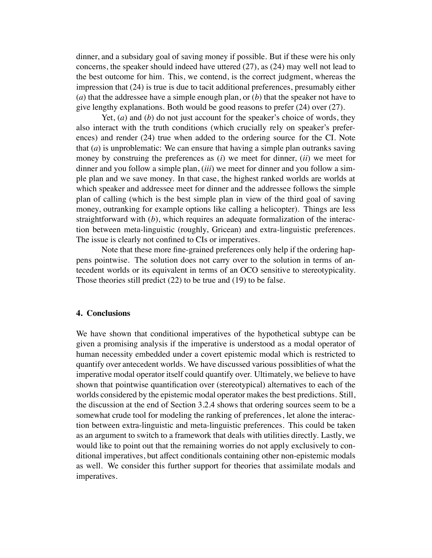dinner, and a subsidary goal of saving money if possible. But if these were his only concerns, the speaker should indeed have uttered (27), as (24) may well not lead to the best outcome for him. This, we contend, is the correct judgment, whereas the impression that (24) is true is due to tacit additional preferences, presumably either (*a*) that the addressee have a simple enough plan, or (*b*) that the speaker not have to give lengthy explanations. Both would be good reasons to prefer (24) over (27).

Yet, (*a*) and (*b*) do not just account for the speaker's choice of words, they also interact with the truth conditions (which crucially rely on speaker's preferences) and render (24) true when added to the ordering source for the CI. Note that (*a*) is unproblematic: We can ensure that having a simple plan outranks saving money by construing the preferences as (*i*) we meet for dinner, (*ii*) we meet for dinner and you follow a simple plan, (*iii*) we meet for dinner and you follow a simple plan and we save money. In that case, the highest ranked worlds are worlds at which speaker and addressee meet for dinner and the addressee follows the simple plan of calling (which is the best simple plan in view of the third goal of saving money, outranking for example options like calling a helicopter). Things are less straightforward with (*b*), which requires an adequate formalization of the interaction between meta-linguistic (roughly, Gricean) and extra-linguistic preferences. The issue is clearly not confined to CIs or imperatives.

Note that these more fine-grained preferences only help if the ordering happens pointwise. The solution does not carry over to the solution in terms of antecedent worlds or its equivalent in terms of an OCO sensitive to stereotypicality. Those theories still predict (22) to be true and (19) to be false.

## **4. Conclusions**

We have shown that conditional imperatives of the hypothetical subtype can be given a promising analysis if the imperative is understood as a modal operator of human necessity embedded under a covert epistemic modal which is restricted to quantify over antecedent worlds. We have discussed various possiblities of what the imperative modal operator itself could quantify over. Ultimately, we believe to have shown that pointwise quantification over (stereotypical) alternatives to each of the worlds considered by the epistemic modal operator makes the best predictions. Still, the discussion at the end of Section 3.2.4 shows that ordering sources seem to be a somewhat crude tool for modeling the ranking of preferences, let alone the interaction between extra-linguistic and meta-linguistic preferences. This could be taken as an argument to switch to a framework that deals with utilities directly. Lastly, we would like to point out that the remaining worries do not apply exclusively to conditional imperatives, but affect conditionals containing other non-epistemic modals as well. We consider this further support for theories that assimilate modals and imperatives.